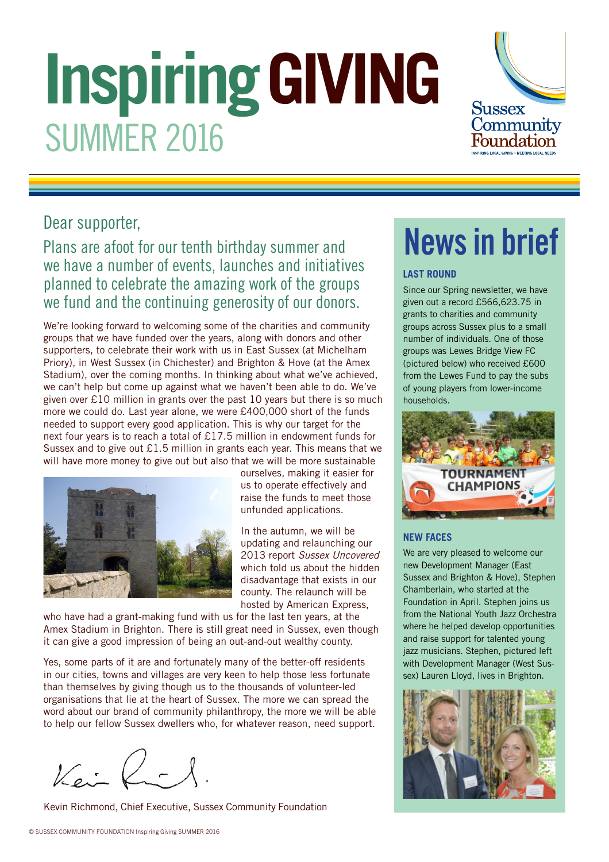# **Inspiring GIVING** SUMMER 2016



## Dear supporter,

## Plans are afoot for our tenth birthday summer and we have a number of events, launches and initiatives planned to celebrate the amazing work of the groups we fund and the continuing generosity of our donors.

We're looking forward to welcoming some of the charities and community groups that we have funded over the years, along with donors and other supporters, to celebrate their work with us in East Sussex (at Michelham Priory), in West Sussex (in Chichester) and Brighton & Hove (at the Amex Stadium), over the coming months. In thinking about what we've achieved, we can't help but come up against what we haven't been able to do. We've given over £10 million in grants over the past 10 years but there is so much more we could do. Last year alone, we were £400,000 short of the funds needed to support every good application. This is why our target for the next four years is to reach a total of £17.5 million in endowment funds for Sussex and to give out £1.5 million in grants each year. This means that we will have more money to give out but also that we will be more sustainable



ourselves, making it easier for us to operate effectively and raise the funds to meet those unfunded applications.

In the autumn, we will be updating and relaunching our 2013 report Sussex Uncovered which told us about the hidden disadvantage that exists in our county. The relaunch will be hosted by American Express,

who have had a grant-making fund with us for the last ten years, at the Amex Stadium in Brighton. There is still great need in Sussex, even though it can give a good impression of being an out-and-out wealthy county.

Yes, some parts of it are and fortunately many of the better-off residents in our cities, towns and villages are very keen to help those less fortunate than themselves by giving though us to the thousands of volunteer-led organisations that lie at the heart of Sussex. The more we can spread the word about our brand of community philanthropy, the more we will be able to help our fellow Sussex dwellers who, for whatever reason, need support.

 $\sqrt{e^{\frac{1}{2}}}$ 

Kevin Richmond, Chief Executive, Sussex Community Foundation

## News in brief

#### **LAST ROUND**

Since our Spring newsletter, we have given out a record £566,623.75 in grants to charities and community groups across Sussex plus to a small number of individuals. One of those groups was Lewes Bridge View FC (pictured below) who received £600 from the Lewes Fund to pay the subs of young players from lower-income households.



### **NEW FACES**

We are very pleased to welcome our new Development Manager (East Sussex and Brighton & Hove), Stephen Chamberlain, who started at the Foundation in April. Stephen joins us from the National Youth Jazz Orchestra where he helped develop opportunities and raise support for talented young jazz musicians. Stephen, pictured left with Development Manager (West Sussex) Lauren Lloyd, lives in Brighton.

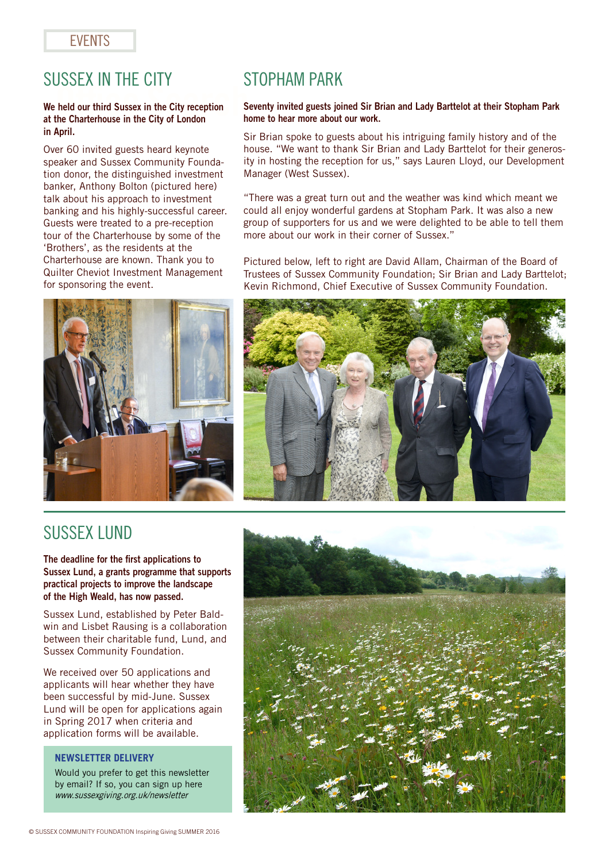## **FVFNTS**

## SUSSEX IN THE CITY<br>We held our third Sussex in the City reception s

## at the Charterhouse in the City of London in April.

Over 60 invited guests heard keynote speaker and Sussex Community Foundation donor, the distinguished investment banker, Anthony Bolton (pictured here) talk about his approach to investment banking and his highly-successful career. Guests were treated to a pre-reception tour of the Charterhouse by some of the 'Brothers', as the residents at the Charterhouse are known. Thank you to Quilter Cheviot Investment Management for sponsoring the event.



## STOPHAM PARK

#### Seventy invited guests joined Sir Brian and Lady Barttelot at their Stopham Park home to hear more about our work.

Sir Brian spoke to guests about his intriguing family history and of the house. "We want to thank Sir Brian and Lady Barttelot for their generosity in hosting the reception for us," says Lauren Lloyd, our Development Manager (West Sussex).

"There was a great turn out and the weather was kind which meant we could all enjoy wonderful gardens at Stopham Park. It was also a new group of supporters for us and we were delighted to be able to tell them more about our work in their corner of Sussex."

Pictured below, left to right are David Allam, Chairman of the Board of Trustees of Sussex Community Foundation; Sir Brian and Lady Barttelot; Kevin Richmond, Chief Executive of Sussex Community Foundation.



## SUSSEX LUND

The deadline for the first applications to Sussex Lund, a grants programme that supports practical projects to improve the landscape of the High Weald, has now passed.

Sussex Lund, established by Peter Baldwin and Lisbet Rausing is a collaboration between their charitable fund, Lund, and Sussex Community Foundation.

We received over 50 applications and applicants will hear whether they have been successful by mid-June. Sussex Lund will be open for applications again in Spring 2017 when criteria and application forms will be available.

#### **NEWSLETTER DELIVERY**

Would you prefer to get this newsletter by email? If so, you can sign up here www.sussexgiving.org.uk/newsletter

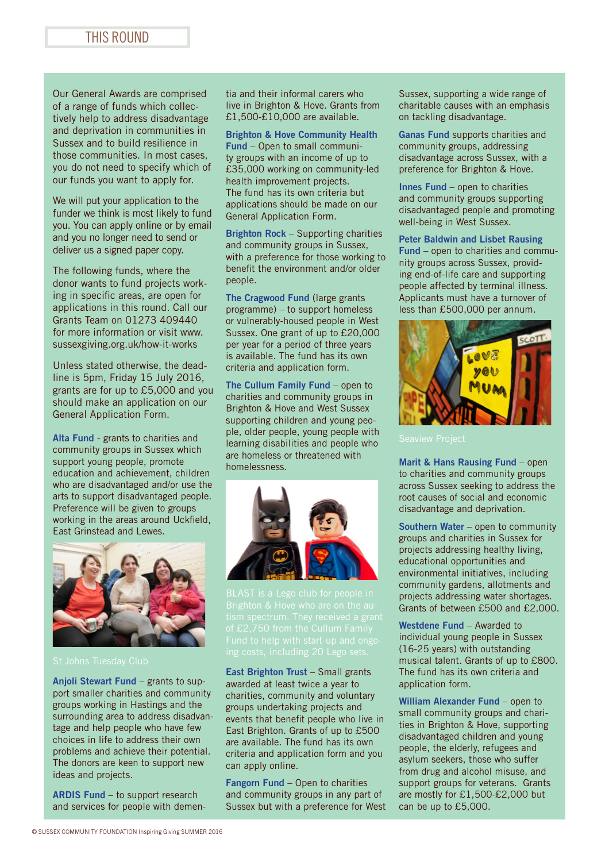### THIS ROUND

Our General Awards are comprised of a range of funds which collectively help to address disadvantage and deprivation in communities in Sussex and to build resilience in those communities. In most cases, you do not need to specify which of our funds you want to apply for.

We will put your application to the funder we think is most likely to fund you. You can apply online or by email and you no longer need to send or deliver us a signed paper copy.

The following funds, where the donor wants to fund projects working in specific areas, are open for applications in this round. Call our Grants Team on 01273 409440 for more information or visit www. sussexgiving.org.uk/how-it-works

Unless stated otherwise, the deadline is 5pm, Friday 15 July 2016, grants are for up to £5,000 and you should make an application on our General Application Form.

Alta Fund - grants to charities and community groups in Sussex which support young people, promote education and achievement, children who are disadvantaged and/or use the arts to support disadvantaged people. Preference will be given to groups working in the areas around Uckfield, East Grinstead and Lewes.



Anjoli Stewart Fund – grants to support smaller charities and community groups working in Hastings and the surrounding area to address disadvantage and help people who have few choices in life to address their own problems and achieve their potential. The donors are keen to support new ideas and projects.

ARDIS Fund – to support research and services for people with dementia and their informal carers who live in Brighton & Hove. Grants from £1,500-£10,000 are available.

Brighton & Hove Community Health Fund – Open to small community groups with an income of up to £35,000 working on community-led health improvement projects. The fund has its own criteria but applications should be made on our General Application Form.

Brighton Rock – Supporting charities and community groups in Sussex, with a preference for those working to benefit the environment and/or older people.

The Cragwood Fund (large grants programme) – to support homeless or vulnerably-housed people in West Sussex. One grant of up to £20,000 per year for a period of three years is available. The fund has its own criteria and application form.

The Cullum Family Fund – open to charities and community groups in Brighton & Hove and West Sussex supporting children and young people, older people, young people with learning disabilities and people who are homeless or threatened with homelessness.



East Brighton Trust – Small grants awarded at least twice a year to charities, community and voluntary groups undertaking projects and events that benefit people who live in East Brighton. Grants of up to £500 are available. The fund has its own criteria and application form and you can apply online.

Fangorn Fund – Open to charities and community groups in any part of Sussex but with a preference for West Sussex, supporting a wide range of charitable causes with an emphasis on tackling disadvantage.

Ganas Fund supports charities and community groups, addressing disadvantage across Sussex, with a preference for Brighton & Hove.

Innes Fund – open to charities and community groups supporting disadvantaged people and promoting well-being in West Sussex.

#### Peter Baldwin and Lisbet Rausing

Fund – open to charities and community groups across Sussex, providing end-of-life care and supporting people affected by terminal illness. Applicants must have a turnover of less than £500,000 per annum.



Marit & Hans Rausing Fund – open to charities and community groups across Sussex seeking to address the root causes of social and economic disadvantage and deprivation.

Southern Water – open to community groups and charities in Sussex for projects addressing healthy living, educational opportunities and environmental initiatives, including community gardens, allotments and projects addressing water shortages. Grants of between £500 and £2,000.

Westdene Fund – Awarded to individual young people in Sussex (16-25 years) with outstanding musical talent. Grants of up to £800. The fund has its own criteria and application form.

William Alexander Fund – open to small community groups and charities in Brighton & Hove, supporting disadvantaged children and young people, the elderly, refugees and asylum seekers, those who suffer from drug and alcohol misuse, and support groups for veterans. Grants are mostly for £1,500-£2,000 but can be up to £5,000.